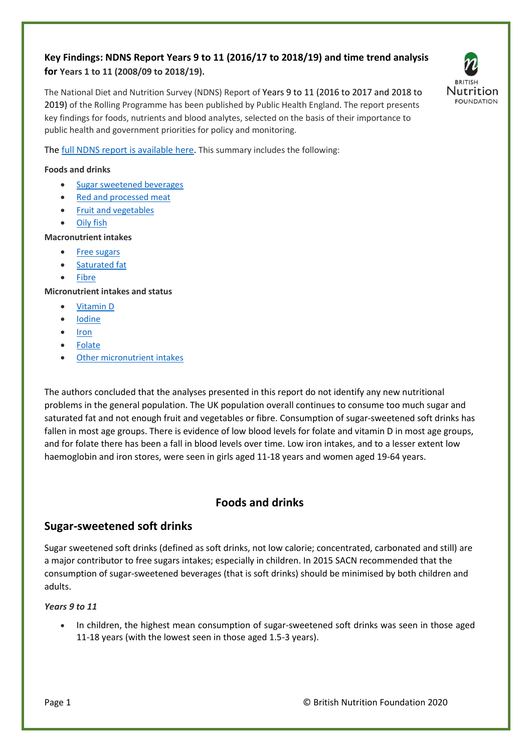## **Key Findings: NDNS Report Years 9 to 11 (2016/17 to 2018/19) and time trend analysis for Years 1 to 11 (2008/09 to 2018/19).**

The National Diet and Nutrition Survey (NDNS) Report of Years 9 to 11 (2016 to 2017 and 2018 to 2019) of the Rolling Programme has been published by Public Health England. The report presents key findings for foods, nutrients and blood analytes, selected on the basis of their importance to public health and government priorities for policy and monitoring.



Th[e full NDNS report is available here.](https://www.gov.uk/government/statistics/ndns-results-from-years-9-to-11-2016-to-2017-and-2018-to-2019) This summary includes the following:

#### **Foods and drinks**

- [Sugar sweetened beverages](#page-0-0)
- [Red and processed meat](#page-1-0)
- [Fruit and vegetables](#page-1-1)
- [Oily fish](#page-2-0)

#### **Macronutrient intakes**

- [Free sugars](#page-2-1)
- [Saturated fat](#page-3-0)
- [Fibre](#page-4-0)

## **Micronutrient intakes and status**

- [Vitamin D](#page-5-0)
- [Iodine](#page-6-0)
- [Iron](#page-7-0)
- [Folate](#page-7-1)
- [Other micronutrient](#page-8-0) intakes

The authors concluded that the analyses presented in this report do not identify any new nutritional problems in the general population. The UK population overall continues to consume too much sugar and saturated fat and not enough fruit and vegetables or fibre. Consumption of sugar-sweetened soft drinks has fallen in most age groups. There is evidence of low blood levels for folate and vitamin D in most age groups, and for folate there has been a fall in blood levels over time. Low iron intakes, and to a lesser extent low haemoglobin and iron stores, were seen in girls aged 11-18 years and women aged 19-64 years.

## **Foods and drinks**

## <span id="page-0-0"></span>**Sugar-sweetened soft drinks**

Sugar sweetened soft drinks (defined as soft drinks, not low calorie; concentrated, carbonated and still) are a major contributor to free sugars intakes; especially in children. In 2015 SACN recommended that the consumption of sugar-sweetened beverages (that is soft drinks) should be minimised by both children and adults.

#### *Years 9 to 11*

• In children, the highest mean consumption of sugar-sweetened soft drinks was seen in those aged 11-18 years (with the lowest seen in those aged 1.5-3 years).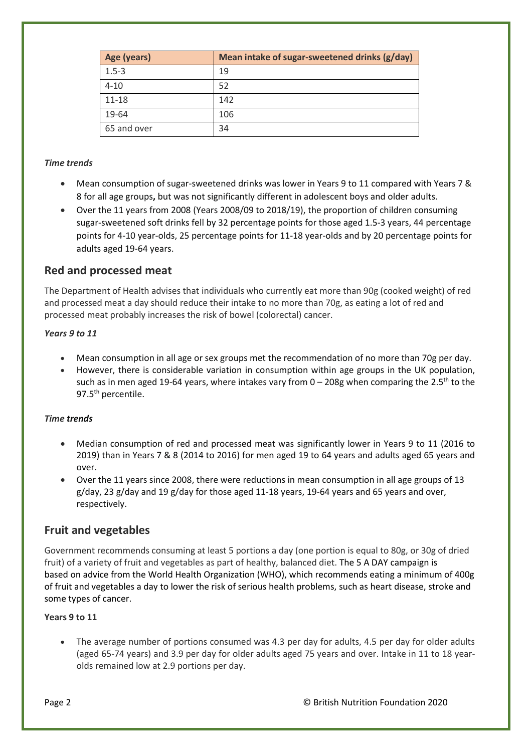| Age (years) | Mean intake of sugar-sweetened drinks (g/day) |
|-------------|-----------------------------------------------|
| $1.5 - 3$   | 19                                            |
| $4 - 10$    | 52                                            |
| $11 - 18$   | 142                                           |
| 19-64       | 106                                           |
| 65 and over | 34                                            |

## *Time trends*

- Mean consumption of sugar-sweetened drinks was lower in Years 9 to 11 compared with Years 7 & 8 for all age groups**,** but was not significantly different in adolescent boys and older adults.
- Over the 11 years from 2008 (Years 2008/09 to 2018/19), the proportion of children consuming sugar-sweetened soft drinks fell by 32 percentage points for those aged 1.5-3 years, 44 percentage points for 4-10 year-olds, 25 percentage points for 11-18 year-olds and by 20 percentage points for adults aged 19-64 years.

## <span id="page-1-0"></span>**Red and processed meat**

The Department of Health advises that individuals who currently eat more than 90g (cooked weight) of red and processed meat a day should reduce their intake to no more than 70g, as eating a lot of red and processed meat probably increases the risk of bowel (colorectal) cancer.

#### *Years 9 to 11*

- Mean consumption in all age or sex groups met the recommendation of no more than 70g per day.
- However, there is considerable variation in consumption within age groups in the UK population, such as in men aged 19-64 years, where intakes vary from  $0-208g$  when comparing the 2.5<sup>th</sup> to the 97.5<sup>th</sup> percentile.

## *Time trends*

- Median consumption of red and processed meat was significantly lower in Years 9 to 11 (2016 to 2019) than in Years 7 & 8 (2014 to 2016) for men aged 19 to 64 years and adults aged 65 years and over.
- Over the 11 years since 2008, there were reductions in mean consumption in all age groups of 13 g/day, 23 g/day and 19 g/day for those aged 11-18 years, 19-64 years and 65 years and over, respectively.

## <span id="page-1-1"></span>**Fruit and vegetables**

Government recommends consuming at least 5 portions a day (one portion is equal to 80g, or 30g of dried fruit) of a variety of fruit and vegetables as part of healthy, balanced diet. The 5 A DAY campaign is based on advice from the World Health Organization (WHO), which recommends eating a minimum of 400g of fruit and vegetables a day to lower the risk of serious health problems, such as heart disease, stroke and some types of cancer.

## **Years 9 to 11**

• The average number of portions consumed was 4.3 per day for adults, 4.5 per day for older adults (aged 65-74 years) and 3.9 per day for older adults aged 75 years and over. Intake in 11 to 18 yearolds remained low at 2.9 portions per day.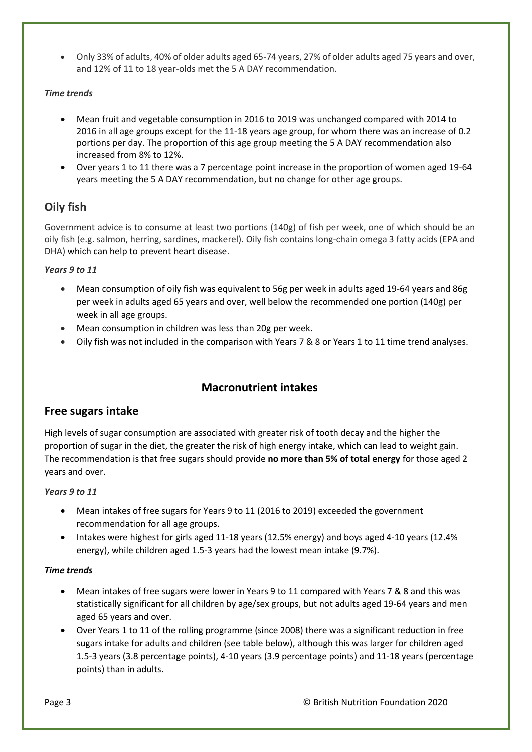• Only 33% of adults, 40% of older adults aged 65-74 years, 27% of older adults aged 75 years and over, and 12% of 11 to 18 year-olds met the 5 A DAY recommendation.

## *Time trends*

- Mean fruit and vegetable consumption in 2016 to 2019 was unchanged compared with 2014 to 2016 in all age groups except for the 11-18 years age group, for whom there was an increase of 0.2 portions per day. The proportion of this age group meeting the 5 A DAY recommendation also increased from 8% to 12%.
- Over years 1 to 11 there was a 7 percentage point increase in the proportion of women aged 19-64 years meeting the 5 A DAY recommendation, but no change for other age groups.

# <span id="page-2-0"></span>**Oily fish**

Government advice is to consume at least two portions (140g) of fish per week, one of which should be an oily fish (e.g. salmon, herring, sardines, mackerel). Oily fish contains long-chain omega 3 fatty acids (EPA and DHA) which can help to prevent heart disease.

## *Years 9 to 11*

- Mean consumption of oily fish was equivalent to 56g per week in adults aged 19-64 years and 86g per week in adults aged 65 years and over, well below the recommended one portion (140g) per week in all age groups.
- Mean consumption in children was less than 20g per week.
- Oily fish was not included in the comparison with Years 7 & 8 or Years 1 to 11 time trend analyses.

# **Macronutrient intakes**

## <span id="page-2-1"></span>**Free sugars intake**

High levels of sugar consumption are associated with greater risk of tooth decay and the higher the proportion of sugar in the diet, the greater the risk of high energy intake, which can lead to weight gain. The recommendation is that free sugars should provide **no more than 5% of total energy** for those aged 2 years and over.

## *Years 9 to 11*

- Mean intakes of free sugars for Years 9 to 11 (2016 to 2019) exceeded the government recommendation for all age groups.
- Intakes were highest for girls aged 11-18 years (12.5% energy) and boys aged 4-10 years (12.4% energy), while children aged 1.5-3 years had the lowest mean intake (9.7%).

## *Time trends*

- Mean intakes of free sugars were lower in Years 9 to 11 compared with Years 7 & 8 and this was statistically significant for all children by age/sex groups, but not adults aged 19-64 years and men aged 65 years and over.
- Over Years 1 to 11 of the rolling programme (since 2008) there was a significant reduction in free sugars intake for adults and children (see table below), although this was larger for children aged 1.5-3 years (3.8 percentage points), 4-10 years (3.9 percentage points) and 11-18 years (percentage points) than in adults.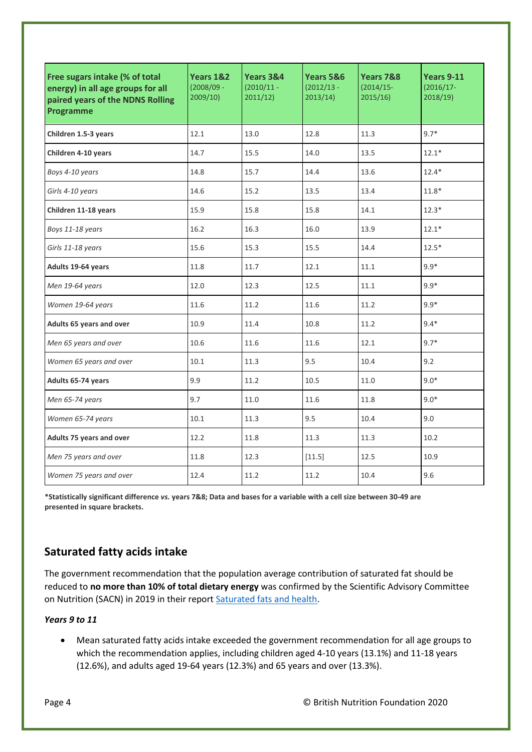| Free sugars intake (% of total<br>energy) in all age groups for all<br>paired years of the NDNS Rolling<br>Programme | Years 1&2<br>$(2008/09 -$<br>2009/10 | Years 3&4<br>$(2010/11 -$<br>2011/12) | Years 5&6<br>$(2012/13 -$<br>2013/14) | Years 7&8<br>$(2014/15 -$<br>2015/16 | <b>Years 9-11</b><br>$(2016/17 -$<br>2018/19 |  |
|----------------------------------------------------------------------------------------------------------------------|--------------------------------------|---------------------------------------|---------------------------------------|--------------------------------------|----------------------------------------------|--|
| Children 1.5-3 years                                                                                                 | 12.1                                 | 13.0                                  | 12.8                                  | 11.3                                 | $9.7*$                                       |  |
| Children 4-10 years                                                                                                  | 14.7                                 | 15.5                                  | 14.0                                  | 13.5                                 | $12.1*$                                      |  |
| Boys 4-10 years                                                                                                      | 14.8                                 | 15.7                                  | 14.4                                  | 13.6                                 | $12.4*$                                      |  |
| Girls 4-10 years                                                                                                     | 14.6                                 | 15.2<br>13.5                          |                                       | 13.4                                 | $11.8*$                                      |  |
| Children 11-18 years                                                                                                 | 15.9                                 | 15.8                                  | 15.8                                  | 14.1                                 | $12.3*$                                      |  |
| Boys 11-18 years                                                                                                     | 16.2                                 | 16.3                                  | 16.0                                  | 13.9                                 | $12.1*$                                      |  |
| Girls 11-18 years                                                                                                    | 15.6                                 | 15.3                                  | 15.5                                  |                                      | $12.5*$                                      |  |
| Adults 19-64 years                                                                                                   | 11.8                                 | 11.7                                  | 12.1                                  |                                      | $9.9*$                                       |  |
| Men 19-64 years                                                                                                      | 12.0                                 | 12.3                                  | 12.5                                  | 11.1                                 | $9.9*$                                       |  |
| Women 19-64 years                                                                                                    | 11.6                                 | 11.2<br>11.6                          |                                       | 11.2                                 | $9.9*$                                       |  |
| Adults 65 years and over                                                                                             | 10.9                                 | 11.4                                  | 10.8                                  | 11.2                                 | $9.4*$                                       |  |
| Men 65 years and over                                                                                                | 10.6                                 | 11.6<br>11.6                          |                                       | 12.1                                 | $9.7*$                                       |  |
| Women 65 years and over                                                                                              | 10.1                                 | 11.3                                  | 9.5                                   | 10.4                                 | 9.2                                          |  |
| Adults 65-74 years                                                                                                   | 9.9                                  | 11.2<br>10.5                          |                                       | 11.0                                 | $9.0*$                                       |  |
| Men 65-74 years                                                                                                      | 9.7                                  | 11.0                                  | 11.6                                  | 11.8                                 | $9.0*$                                       |  |
| Women 65-74 years                                                                                                    | 10.1                                 | 11.3                                  | 9.5                                   | 10.4                                 | 9.0                                          |  |
| Adults 75 years and over                                                                                             | 12.2                                 | 11.8                                  | 11.3                                  | 11.3                                 | 10.2                                         |  |
| Men 75 years and over                                                                                                | 11.8                                 | 12.3                                  | [11.5]                                | 12.5                                 | 10.9                                         |  |
| Women 75 years and over                                                                                              | 12.4                                 | 11.2                                  | 11.2                                  | 10.4                                 | 9.6                                          |  |

**\*Statistically significant difference** *vs.* **years 7&8; Data and bases for a variable with a cell size between 30-49 are presented in square brackets.**

# <span id="page-3-0"></span>**Saturated fatty acids intake**

The government recommendation that the population average contribution of saturated fat should be reduced to **no more than 10% of total dietary energy** was confirmed by the Scientific Advisory Committee on Nutrition (SACN) in 2019 in their repor[t Saturated fats and health.](https://www.gov.uk/government/publications/saturated-fats-and-health-sacn-report)

## *Years 9 to 11*

• Mean saturated fatty acids intake exceeded the government recommendation for all age groups to which the recommendation applies, including children aged 4-10 years (13.1%) and 11-18 years (12.6%), and adults aged 19-64 years (12.3%) and 65 years and over (13.3%).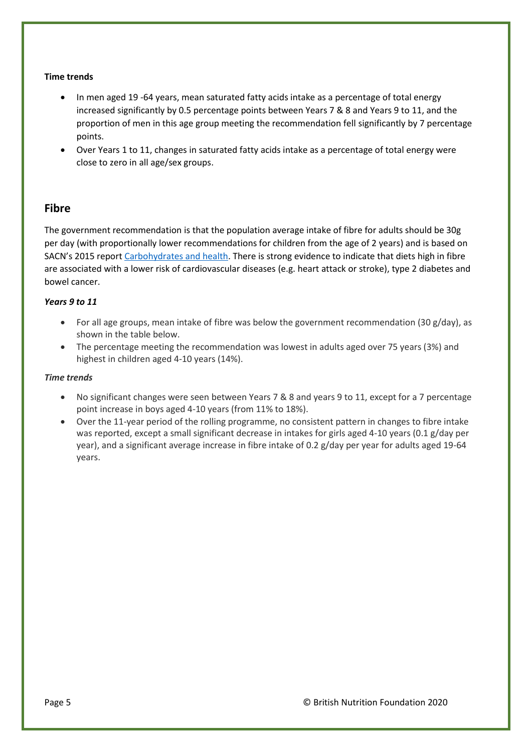## **Time trends**

- In men aged 19 -64 years, mean saturated fatty acids intake as a percentage of total energy increased significantly by 0.5 percentage points between Years 7 & 8 and Years 9 to 11, and the proportion of men in this age group meeting the recommendation fell significantly by 7 percentage points.
- Over Years 1 to 11, changes in saturated fatty acids intake as a percentage of total energy were close to zero in all age/sex groups.

## <span id="page-4-0"></span>**Fibre**

The government recommendation is that the population average intake of fibre for adults should be 30g per day (with proportionally lower recommendations for children from the age of 2 years) and is based on SACN's 2015 report [Carbohydrates and health.](https://www.gov.uk/government/publications/sacn-carbohydrates-and-health-report) There is strong evidence to indicate that diets high in fibre are associated with a lower risk of cardiovascular diseases (e.g. heart attack or stroke), type 2 diabetes and bowel cancer.

## *Years 9 to 11*

- For all age groups, mean intake of fibre was below the government recommendation (30 g/day), as shown in the table below.
- The percentage meeting the recommendation was lowest in adults aged over 75 years (3%) and highest in children aged 4-10 years (14%).

#### *Time trends*

- No significant changes were seen between Years 7 & 8 and years 9 to 11, except for a 7 percentage point increase in boys aged 4-10 years (from 11% to 18%).
- Over the 11-year period of the rolling programme, no consistent pattern in changes to fibre intake was reported, except a small significant decrease in intakes for girls aged 4-10 years (0.1 g/day per year), and a significant average increase in fibre intake of 0.2 g/day per year for adults aged 19-64 years.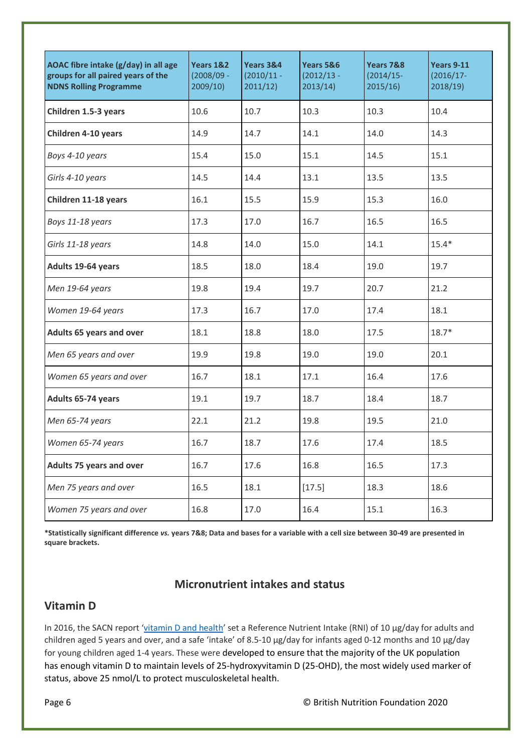| AOAC fibre intake (g/day) in all age<br>groups for all paired years of the<br><b>NDNS Rolling Programme</b> | Years 1&2<br>$(2008/09 -$<br>2009/10 | Years 3&4<br>$(2010/11 -$<br>2011/12) | Years 5&6<br>$(2012/13 -$<br>2013/14) | Years 7&8<br>$(2014/15 -$<br>2015/16 | <b>Years 9-11</b><br>$(2016/17 -$<br>2018/19 |  |
|-------------------------------------------------------------------------------------------------------------|--------------------------------------|---------------------------------------|---------------------------------------|--------------------------------------|----------------------------------------------|--|
| Children 1.5-3 years                                                                                        | 10.6                                 | 10.7                                  | 10.3                                  | 10.3                                 | 10.4                                         |  |
| Children 4-10 years                                                                                         | 14.9                                 | 14.7                                  | 14.1                                  | 14.0                                 | 14.3                                         |  |
| Boys 4-10 years                                                                                             | 15.4                                 | 15.0                                  | 15.1                                  | 14.5                                 | 15.1                                         |  |
| Girls 4-10 years                                                                                            | 14.5                                 | 14.4                                  | 13.1                                  | 13.5                                 | 13.5                                         |  |
| Children 11-18 years                                                                                        | 16.1                                 | 15.5                                  | 15.9                                  | 15.3                                 | 16.0                                         |  |
| Boys 11-18 years                                                                                            | 17.3                                 | 17.0                                  | 16.7                                  | 16.5                                 | 16.5                                         |  |
| Girls 11-18 years                                                                                           | 14.8                                 | 14.0                                  | 15.0                                  | 14.1                                 | $15.4*$                                      |  |
| Adults 19-64 years                                                                                          | 18.5                                 | 18.0                                  | 18.4                                  | 19.0                                 | 19.7                                         |  |
| Men 19-64 years                                                                                             | 19.8                                 | 19.4                                  | 19.7                                  | 20.7                                 | 21.2                                         |  |
| Women 19-64 years                                                                                           | 17.3                                 | 16.7                                  | 17.0                                  | 17.4                                 | 18.1                                         |  |
| <b>Adults 65 years and over</b>                                                                             | 18.1                                 | 18.0<br>18.8                          |                                       | 17.5                                 | $18.7*$                                      |  |
| Men 65 years and over                                                                                       | 19.9                                 | 19.8                                  | 19.0                                  |                                      | 20.1                                         |  |
| Women 65 years and over                                                                                     | 16.7                                 | 18.1<br>17.1                          |                                       | 16.4                                 | 17.6                                         |  |
| Adults 65-74 years                                                                                          | 19.1                                 | 19.7                                  | 18.7                                  | 18.4                                 | 18.7                                         |  |
| Men 65-74 years                                                                                             | 22.1                                 | 21.2<br>19.8                          |                                       | 19.5                                 | 21.0                                         |  |
| Women 65-74 years                                                                                           | 16.7                                 | 18.7<br>17.6                          |                                       | 17.4                                 | 18.5                                         |  |
| Adults 75 years and over                                                                                    | 16.7                                 | 17.6                                  | 16.8                                  | 16.5                                 | 17.3                                         |  |
| Men 75 years and over                                                                                       | 16.5                                 | 18.1                                  | [17.5]                                | 18.3                                 | 18.6                                         |  |
| Women 75 years and over                                                                                     | 16.8                                 | 17.0                                  | 16.4                                  | 15.1                                 | 16.3                                         |  |

**\*Statistically significant difference** *vs.* **years 7&8; Data and bases for a variable with a cell size between 30-49 are presented in square brackets.**

# **Micronutrient intakes and status**

# <span id="page-5-0"></span>**Vitamin D**

In 2016, the SACN report '[vitamin D and health](https://www.gov.uk/government/publications/sacn-vitamin-d-and-health-report)' set a Reference Nutrient Intake (RNI) of 10 μg/day for adults and children aged 5 years and over, and a safe 'intake' of 8.5-10 μg/day for infants aged 0-12 months and 10 μg/day for young children aged 1-4 years. These were developed to ensure that the majority of the UK population has enough vitamin D to maintain levels of 25-hydroxyvitamin D (25-OHD), the most widely used marker of status, above 25 nmol/L to protect musculoskeletal health.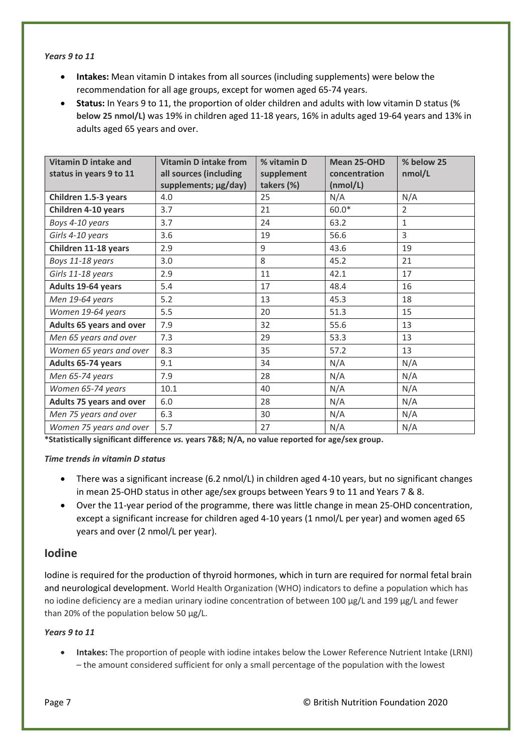#### *Years 9 to 11*

- **Intakes:** Mean vitamin D intakes from all sources (including supplements) were below the recommendation for all age groups, except for women aged 65-74 years.
- **Status:** In Years 9 to 11, the proportion of older children and adults with low vitamin D status (**% below 25 nmol/L)** was 19% in children aged 11-18 years, 16% in adults aged 19-64 years and 13% in adults aged 65 years and over.

| <b>Vitamin D intake and</b><br>status in years 9 to 11 | <b>Vitamin D intake from</b><br>all sources (including<br>supplements; µg/day) | % vitamin D<br>supplement<br>takers (%) | Mean 25-OHD<br>concentration<br>(nmol/L) | % below 25<br>nmol/L |  |
|--------------------------------------------------------|--------------------------------------------------------------------------------|-----------------------------------------|------------------------------------------|----------------------|--|
| Children 1.5-3 years                                   | 4.0                                                                            | 25                                      | N/A                                      | N/A                  |  |
| Children 4-10 years                                    | 3.7                                                                            | 21                                      | $60.0*$                                  | $\overline{2}$       |  |
| Boys 4-10 years                                        | 3.7                                                                            | 24                                      | 63.2                                     | $\mathbf{1}$         |  |
| Girls 4-10 years                                       | 3.6                                                                            | 19                                      | 56.6                                     | 3                    |  |
| Children 11-18 years                                   | 2.9                                                                            | 9                                       | 43.6                                     | 19                   |  |
| Boys 11-18 years                                       | 3.0                                                                            | 8                                       | 45.2                                     | 21                   |  |
| Girls 11-18 years                                      | 2.9                                                                            | 11                                      | 42.1                                     | 17                   |  |
| Adults 19-64 years                                     | 5.4                                                                            | 17                                      | 48.4                                     | 16                   |  |
| Men 19-64 years                                        | 5.2                                                                            | 13                                      | 45.3                                     | 18                   |  |
| Women 19-64 years                                      | 5.5                                                                            | 20                                      | 51.3                                     | 15                   |  |
| <b>Adults 65 years and over</b>                        | 7.9                                                                            | 32                                      | 55.6                                     | 13                   |  |
| Men 65 years and over                                  | 7.3                                                                            | 29                                      | 53.3                                     | 13                   |  |
| Women 65 years and over                                | 8.3                                                                            | 35                                      | 57.2                                     | 13                   |  |
| Adults 65-74 years                                     | 9.1                                                                            | 34                                      | N/A                                      | N/A                  |  |
| Men 65-74 years                                        | 7.9                                                                            | 28                                      | N/A                                      | N/A                  |  |
| Women 65-74 years                                      | 10.1                                                                           | 40                                      | N/A                                      | N/A                  |  |
| <b>Adults 75 years and over</b>                        | 6.0                                                                            | 28                                      | N/A                                      | N/A                  |  |
| Men 75 years and over                                  | 6.3                                                                            | 30                                      | N/A                                      | N/A                  |  |
| Women 75 years and over                                | 5.7                                                                            | 27                                      | N/A                                      | N/A                  |  |

**\*Statistically significant difference** *vs.* **years 7&8; N/A, no value reported for age/sex group.**

#### *Time trends in vitamin D status*

- There was a significant increase (6.2 nmol/L) in children aged 4-10 years, but no significant changes in mean 25-OHD status in other age/sex groups between Years 9 to 11 and Years 7 & 8.
- Over the 11-year period of the programme, there was little change in mean 25-OHD concentration, except a significant increase for children aged 4-10 years (1 nmol/L per year) and women aged 65 years and over (2 nmol/L per year).

## <span id="page-6-0"></span>**Iodine**

Iodine is required for the production of thyroid hormones, which in turn are required for normal fetal brain and neurological development. World Health Organization (WHO) indicators to define a population which has no iodine deficiency are a median urinary iodine concentration of between 100 µg/L and 199 µg/L and fewer than 20% of the population below 50 µg/L.

## *Years 9 to 11*

• **Intakes:** The proportion of people with iodine intakes below the Lower Reference Nutrient Intake (LRNI) – the amount considered sufficient for only a small percentage of the population with the lowest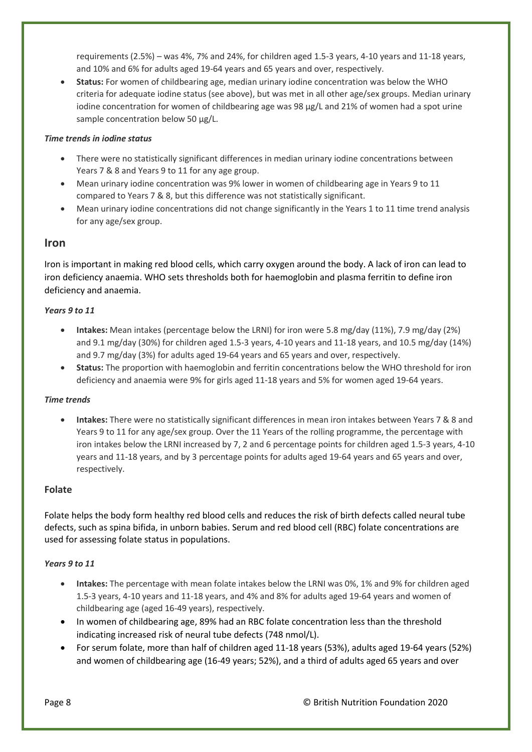requirements (2.5%) – was 4%, 7% and 24%, for children aged 1.5-3 years, 4-10 years and 11-18 years, and 10% and 6% for adults aged 19-64 years and 65 years and over, respectively.

• **Status:** For women of childbearing age, median urinary iodine concentration was below the WHO criteria for adequate iodine status (see above), but was met in all other age/sex groups. Median urinary iodine concentration for women of childbearing age was 98 µg/L and 21% of women had a spot urine sample concentration below 50 µg/L.

## *Time trends in iodine status*

- There were no statistically significant differences in median urinary iodine concentrations between Years 7 & 8 and Years 9 to 11 for any age group.
- Mean urinary iodine concentration was 9% lower in women of childbearing age in Years 9 to 11 compared to Years 7 & 8, but this difference was not statistically significant.
- Mean urinary iodine concentrations did not change significantly in the Years 1 to 11 time trend analysis for any age/sex group.

## <span id="page-7-0"></span>**Iron**

Iron is important in making red blood cells, which carry oxygen around the body. A lack of iron can lead to iron deficiency anaemia. WHO sets thresholds both for haemoglobin and plasma ferritin to define iron deficiency and anaemia.

#### *Years 9 to 11*

- **Intakes:** Mean intakes (percentage below the LRNI) for iron were 5.8 mg/day (11%), 7.9 mg/day (2%) and 9.1 mg/day (30%) for children aged 1.5-3 years, 4-10 years and 11-18 years, and 10.5 mg/day (14%) and 9.7 mg/day (3%) for adults aged 19-64 years and 65 years and over, respectively.
- **Status:** The proportion with haemoglobin and ferritin concentrations below the WHO threshold for iron deficiency and anaemia were 9% for girls aged 11-18 years and 5% for women aged 19-64 years.

#### *Time trends*

• **Intakes:** There were no statistically significant differences in mean iron intakes between Years 7 & 8 and Years 9 to 11 for any age/sex group. Over the 11 Years of the rolling programme, the percentage with iron intakes below the LRNI increased by 7, 2 and 6 percentage points for children aged 1.5-3 years, 4-10 years and 11-18 years, and by 3 percentage points for adults aged 19-64 years and 65 years and over, respectively.

## <span id="page-7-1"></span>**Folate**

Folate helps the body form healthy red blood cells and reduces the risk of birth defects called neural tube defects, such as spina bifida, in unborn babies. Serum and red blood cell (RBC) folate concentrations are used for assessing folate status in populations.

## *Years 9 to 11*

- **Intakes:** The percentage with mean folate intakes below the LRNI was 0%, 1% and 9% for children aged 1.5-3 years, 4-10 years and 11-18 years, and 4% and 8% for adults aged 19-64 years and women of childbearing age (aged 16-49 years), respectively.
- In women of childbearing age, 89% had an RBC folate concentration less than the threshold indicating increased risk of neural tube defects (748 nmol/L).
- For serum folate, more than half of children aged 11-18 years (53%), adults aged 19-64 years (52%) and women of childbearing age (16-49 years; 52%), and a third of adults aged 65 years and over